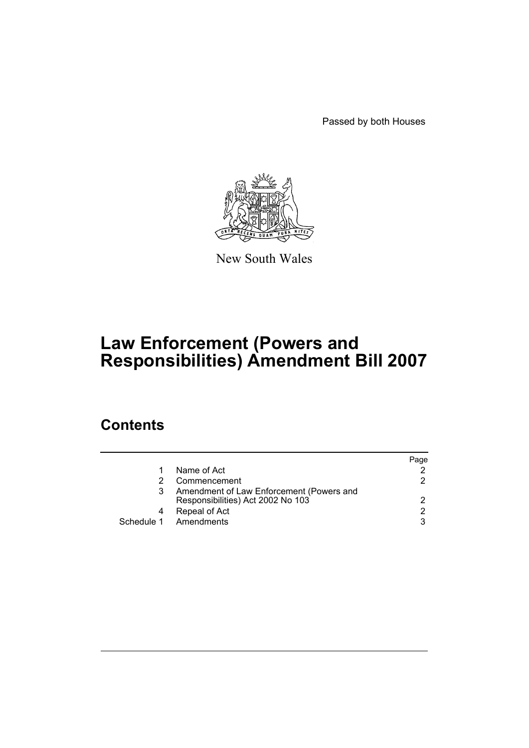Passed by both Houses



New South Wales

# **Law Enforcement (Powers and Responsibilities) Amendment Bill 2007**

# **Contents**

|   |                                                                               | Page |
|---|-------------------------------------------------------------------------------|------|
|   | Name of Act                                                                   | 2.   |
|   | Commencement                                                                  | 2.   |
| 3 | Amendment of Law Enforcement (Powers and<br>Responsibilities) Act 2002 No 103 | 2    |
|   | Repeal of Act                                                                 | 2    |
|   | Schedule 1 Amendments                                                         | 3    |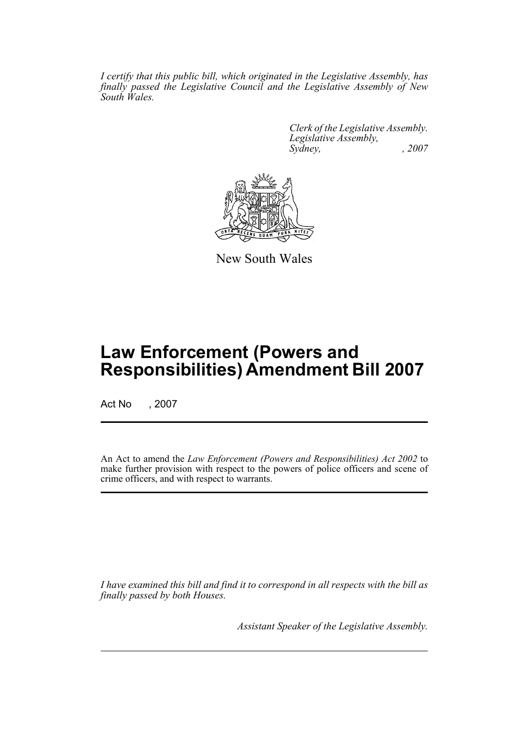*I certify that this public bill, which originated in the Legislative Assembly, has finally passed the Legislative Council and the Legislative Assembly of New South Wales.*

> *Clerk of the Legislative Assembly. Legislative Assembly, Sydney, , 2007*



New South Wales

# **Law Enforcement (Powers and Responsibilities) Amendment Bill 2007**

Act No , 2007

An Act to amend the *Law Enforcement (Powers and Responsibilities) Act 2002* to make further provision with respect to the powers of police officers and scene of crime officers, and with respect to warrants.

*I have examined this bill and find it to correspond in all respects with the bill as finally passed by both Houses.*

*Assistant Speaker of the Legislative Assembly.*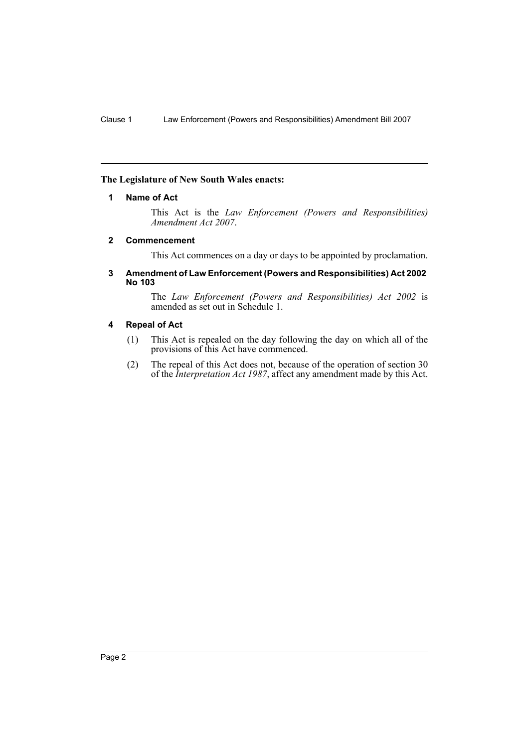#### <span id="page-2-0"></span>**The Legislature of New South Wales enacts:**

#### **1 Name of Act**

This Act is the *Law Enforcement (Powers and Responsibilities) Amendment Act 2007*.

#### <span id="page-2-1"></span>**2 Commencement**

This Act commences on a day or days to be appointed by proclamation.

#### <span id="page-2-2"></span>**3 Amendment of Law Enforcement (Powers and Responsibilities) Act 2002 No 103**

The *Law Enforcement (Powers and Responsibilities) Act 2002* is amended as set out in Schedule 1.

#### <span id="page-2-3"></span>**4 Repeal of Act**

- (1) This Act is repealed on the day following the day on which all of the provisions of this Act have commenced.
- (2) The repeal of this Act does not, because of the operation of section 30 of the *Interpretation Act 1987*, affect any amendment made by this Act.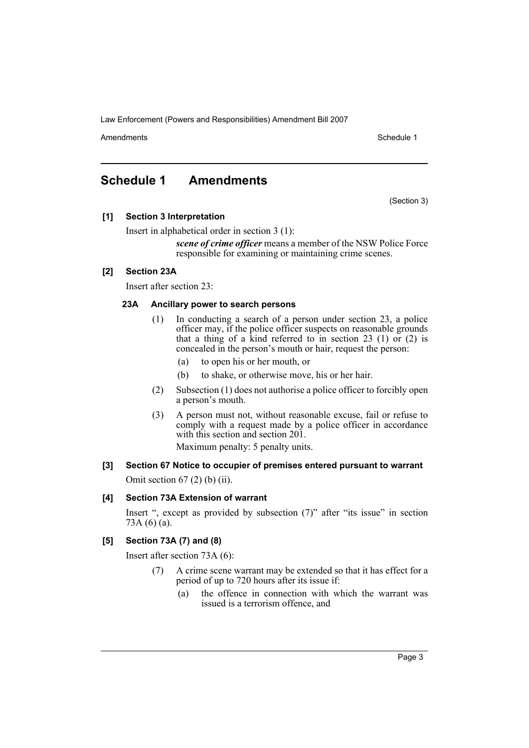Amendments **Amendments** Schedule 1

# <span id="page-3-0"></span>**Schedule 1 Amendments**

(Section 3)

# **[1] Section 3 Interpretation**

Insert in alphabetical order in section 3 (1):

*scene of crime officer* means a member of the NSW Police Force responsible for examining or maintaining crime scenes.

# **[2] Section 23A**

Insert after section 23:

#### **23A Ancillary power to search persons**

- (1) In conducting a search of a person under section 23, a police officer may, if the police officer suspects on reasonable grounds that a thing of a kind referred to in section 23 (1) or (2) is concealed in the person's mouth or hair, request the person:
	- (a) to open his or her mouth, or
	- (b) to shake, or otherwise move, his or her hair.
- (2) Subsection (1) does not authorise a police officer to forcibly open a person's mouth.
- (3) A person must not, without reasonable excuse, fail or refuse to comply with a request made by a police officer in accordance with this section and section 201.

Maximum penalty: 5 penalty units.

**[3] Section 67 Notice to occupier of premises entered pursuant to warrant** Omit section  $67(2)$  (b) (ii).

# **[4] Section 73A Extension of warrant**

Insert ", except as provided by subsection (7)" after "its issue" in section 73A $(6)$  $(a)$ .

# **[5] Section 73A (7) and (8)**

Insert after section 73A (6):

- A crime scene warrant may be extended so that it has effect for a period of up to 720 hours after its issue if:
	- (a) the offence in connection with which the warrant was issued is a terrorism offence, and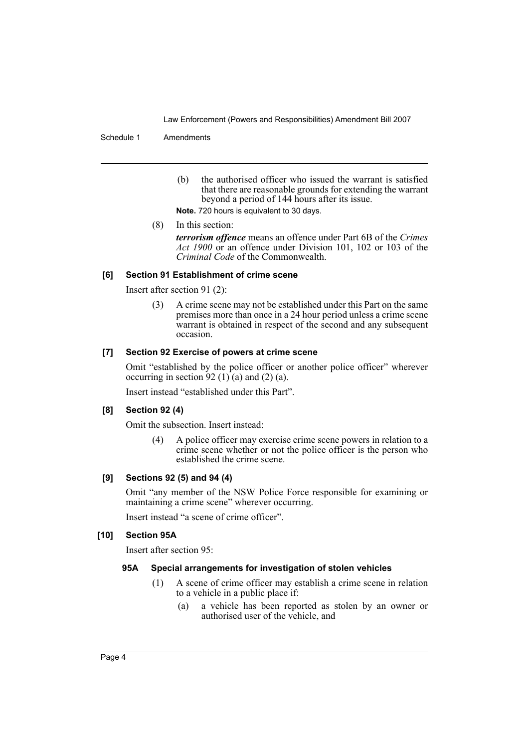#### Schedule 1 Amendments

(b) the authorised officer who issued the warrant is satisfied that there are reasonable grounds for extending the warrant beyond a period of 144 hours after its issue.

**Note.** 720 hours is equivalent to 30 days.

(8) In this section:

*terrorism offence* means an offence under Part 6B of the *Crimes Act 1900* or an offence under Division 101, 102 or 103 of the *Criminal Code* of the Commonwealth.

# **[6] Section 91 Establishment of crime scene**

Insert after section 91 (2):

(3) A crime scene may not be established under this Part on the same premises more than once in a 24 hour period unless a crime scene warrant is obtained in respect of the second and any subsequent occasion.

#### **[7] Section 92 Exercise of powers at crime scene**

Omit "established by the police officer or another police officer" wherever occurring in section 92 (1) (a) and (2) (a).

Insert instead "established under this Part".

# **[8] Section 92 (4)**

Omit the subsection. Insert instead:

(4) A police officer may exercise crime scene powers in relation to a crime scene whether or not the police officer is the person who established the crime scene.

# **[9] Sections 92 (5) and 94 (4)**

Omit "any member of the NSW Police Force responsible for examining or maintaining a crime scene" wherever occurring.

Insert instead "a scene of crime officer".

# **[10] Section 95A**

Insert after section 95:

# **95A Special arrangements for investigation of stolen vehicles**

- (1) A scene of crime officer may establish a crime scene in relation to a vehicle in a public place if:
	- (a) a vehicle has been reported as stolen by an owner or authorised user of the vehicle, and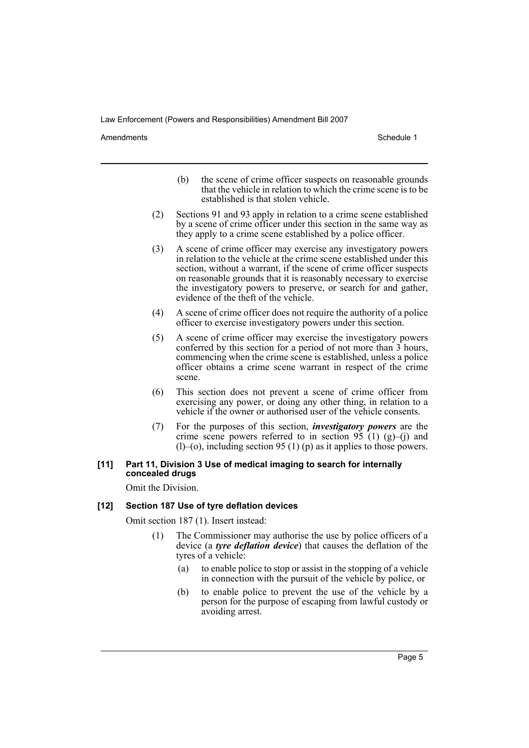Amendments **Amendments** Schedule 1

- (b) the scene of crime officer suspects on reasonable grounds that the vehicle in relation to which the crime scene is to be established is that stolen vehicle.
- (2) Sections 91 and 93 apply in relation to a crime scene established by a scene of crime officer under this section in the same way as they apply to a crime scene established by a police officer.
- (3) A scene of crime officer may exercise any investigatory powers in relation to the vehicle at the crime scene established under this section, without a warrant, if the scene of crime officer suspects on reasonable grounds that it is reasonably necessary to exercise the investigatory powers to preserve, or search for and gather, evidence of the theft of the vehicle.
- (4) A scene of crime officer does not require the authority of a police officer to exercise investigatory powers under this section.
- (5) A scene of crime officer may exercise the investigatory powers conferred by this section for a period of not more than 3 hours, commencing when the crime scene is established, unless a police officer obtains a crime scene warrant in respect of the crime scene.
- (6) This section does not prevent a scene of crime officer from exercising any power, or doing any other thing, in relation to a vehicle if the owner or authorised user of the vehicle consents.
- (7) For the purposes of this section, *investigatory powers* are the crime scene powers referred to in section  $95 \t(1) (g)$ –(j) and  $(l)$ –(o), including section 95 (1) (p) as it applies to those powers.

#### **[11] Part 11, Division 3 Use of medical imaging to search for internally concealed drugs**

Omit the Division.

# **[12] Section 187 Use of tyre deflation devices**

Omit section 187 (1). Insert instead:

- (1) The Commissioner may authorise the use by police officers of a device (a *tyre deflation device*) that causes the deflation of the tyres of a vehicle:
	- (a) to enable police to stop or assist in the stopping of a vehicle in connection with the pursuit of the vehicle by police, or
	- (b) to enable police to prevent the use of the vehicle by a person for the purpose of escaping from lawful custody or avoiding arrest.